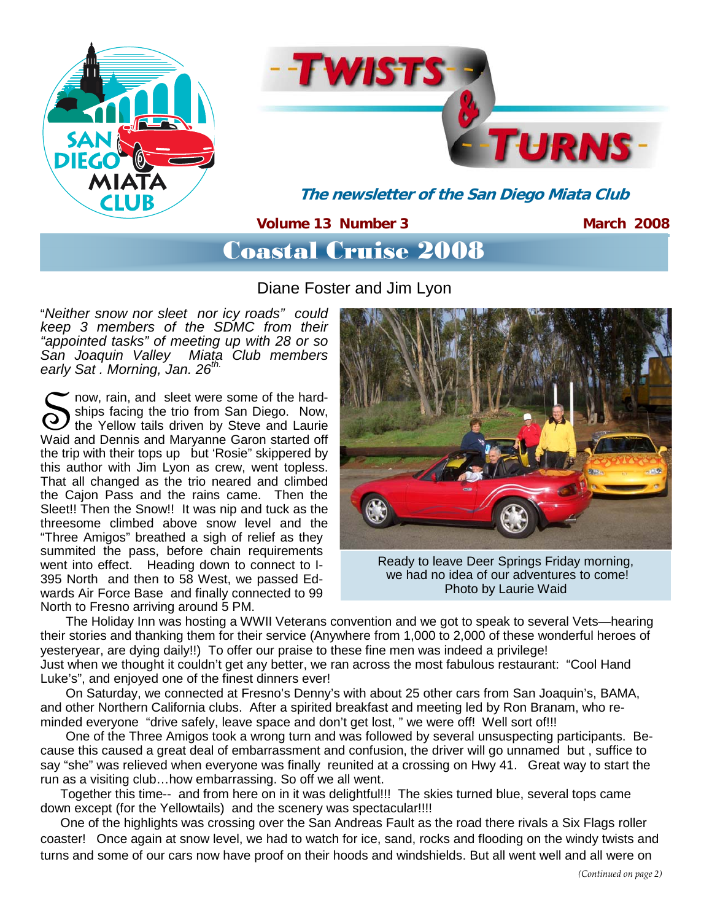



**The newsletter of the San Diego Miata Club** 

### **Volume 13 Number 3**

**March 2008** 

# Coastal Cruise 2008

Diane Foster and Jim Lyon

"*Neither snow nor sleet nor icy roads" could keep 3 members of the SDMC from their "appointed tasks" of meeting up with 28 or so San Joaquin Valley Miata Club members early Sat . Morning, Jan. 26th.*

Ships facing the trio from San Diego. Now, the Yellow tails driven by Steve and Laurie Waid and Dennis and Maryanne Garon started off ships facing the trio from San Diego. Now, the Yellow tails driven by Steve and Laurie the trip with their tops up but 'Rosie" skippered by this author with Jim Lyon as crew, went topless. That all changed as the trio neared and climbed the Cajon Pass and the rains came. Then the Sleet!! Then the Snow!! It was nip and tuck as the threesome climbed above snow level and the "Three Amigos" breathed a sigh of relief as they summited the pass, before chain requirements went into effect. Heading down to connect to I-395 North and then to 58 West, we passed Edwards Air Force Base and finally connected to 99 North to Fresno arriving around 5 PM.



Ready to leave Deer Springs Friday morning, we had no idea of our adventures to come! Photo by Laurie Waid

 The Holiday Inn was hosting a WWII Veterans convention and we got to speak to several Vets—hearing their stories and thanking them for their service (Anywhere from 1,000 to 2,000 of these wonderful heroes of yesteryear, are dying daily!!) To offer our praise to these fine men was indeed a privilege! Just when we thought it couldn't get any better, we ran across the most fabulous restaurant: "Cool Hand Luke's", and enjoyed one of the finest dinners ever!

 On Saturday, we connected at Fresno's Denny's with about 25 other cars from San Joaquin's, BAMA, and other Northern California clubs. After a spirited breakfast and meeting led by Ron Branam, who reminded everyone "drive safely, leave space and don't get lost, " we were off! Well sort of!!!

 One of the Three Amigos took a wrong turn and was followed by several unsuspecting participants. Because this caused a great deal of embarrassment and confusion, the driver will go unnamed but , suffice to say "she" was relieved when everyone was finally reunited at a crossing on Hwy 41. Great way to start the run as a visiting club…how embarrassing. So off we all went.

 Together this time-- and from here on in it was delightful!!! The skies turned blue, several tops came down except (for the Yellowtails) and the scenery was spectacular!!!!

 One of the highlights was crossing over the San Andreas Fault as the road there rivals a Six Flags roller coaster! Once again at snow level, we had to watch for ice, sand, rocks and flooding on the windy twists and turns and some of our cars now have proof on their hoods and windshields. But all went well and all were on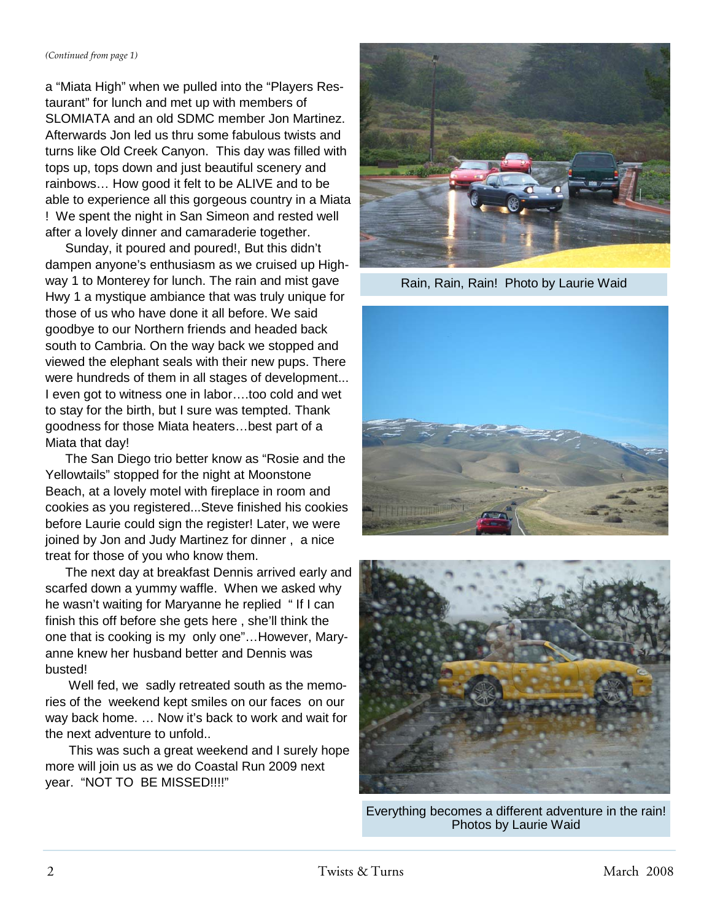a "Miata High" when we pulled into the "Players Restaurant" for lunch and met up with members of SLOMIATA and an old SDMC member Jon Martinez. Afterwards Jon led us thru some fabulous twists and turns like Old Creek Canyon. This day was filled with tops up, tops down and just beautiful scenery and rainbows… How good it felt to be ALIVE and to be able to experience all this gorgeous country in a Miata ! We spent the night in San Simeon and rested well after a lovely dinner and camaraderie together.

 Sunday, it poured and poured!, But this didn't dampen anyone's enthusiasm as we cruised up Highway 1 to Monterey for lunch. The rain and mist gave Hwy 1 a mystique ambiance that was truly unique for those of us who have done it all before. We said goodbye to our Northern friends and headed back south to Cambria. On the way back we stopped and viewed the elephant seals with their new pups. There were hundreds of them in all stages of development... I even got to witness one in labor….too cold and wet to stay for the birth, but I sure was tempted. Thank goodness for those Miata heaters…best part of a Miata that day!

 The San Diego trio better know as "Rosie and the Yellowtails" stopped for the night at Moonstone Beach, at a lovely motel with fireplace in room and cookies as you registered...Steve finished his cookies before Laurie could sign the register! Later, we were joined by Jon and Judy Martinez for dinner , a nice treat for those of you who know them.

 The next day at breakfast Dennis arrived early and scarfed down a yummy waffle. When we asked why he wasn't waiting for Maryanne he replied " If I can finish this off before she gets here , she'll think the one that is cooking is my only one"…However, Maryanne knew her husband better and Dennis was busted!

 Well fed, we sadly retreated south as the memories of the weekend kept smiles on our faces on our way back home. … Now it's back to work and wait for the next adventure to unfold..

 This was such a great weekend and I surely hope more will join us as we do Coastal Run 2009 next year. "NOT TO BE MISSED!!!!"



Rain, Rain, Rain! Photo by Laurie Waid





Everything becomes a different adventure in the rain! Photos by Laurie Waid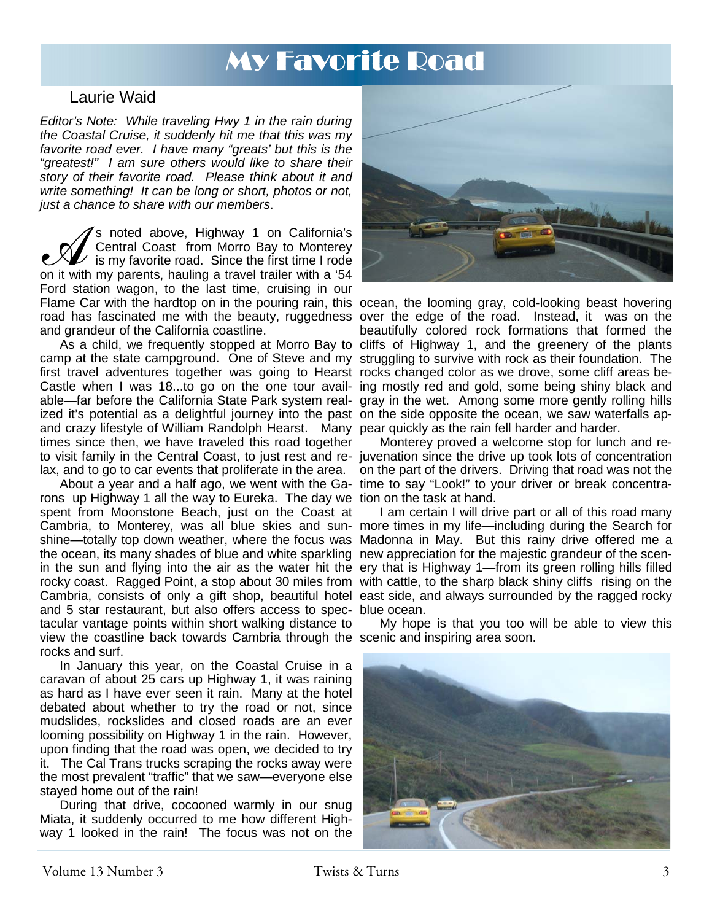# My Favorite Road

### Laurie Waid

*Editor's Note: While traveling Hwy 1 in the rain during the Coastal Cruise, it suddenly hit me that this was my favorite road ever. I have many "greats' but this is the "greatest!" I am sure others would like to share their story of their favorite road. Please think about it and write something! It can be long or short, photos or not, just a chance to share with our members*.

S noted above, Highway 1 on California's<br>Central Coast from Morro Bay to Monterey<br>is my favorite road. Since the first time I rode<br>on it with my parents, hauling a travel trailer with a '54 Central Coast from Morro Bay to Monterey is my favorite road. Since the first time I rode on it with my parents, hauling a travel trailer with a '54 Ford station wagon, to the last time, cruising in our Flame Car with the hardtop on in the pouring rain, this ocean, the looming gray, cold-looking beast hovering road has fascinated me with the beauty, ruggedness over the edge of the road. Instead, it was on the and grandeur of the California coastline.

As a child, we frequently stopped at Morro Bay to cliffs of Highway 1, and the greenery of the plants first travel adventures together was going to Hearst rocks changed color as we drove, some cliff areas be-Castle when I was 18...to go on the one tour avail-ing mostly red and gold, some being shiny black and able—far before the California State Park system real-gray in the wet. Among some more gently rolling hills ized it's potential as a delightful journey into the past on the side opposite the ocean, we saw waterfalls apand crazy lifestyle of William Randolph Hearst. Many pear quickly as the rain fell harder and harder. times since then, we have traveled this road together lax, and to go to car events that proliferate in the area.

 About a year and a half ago, we went with the Ga-time to say "Look!" to your driver or break concentrarons up Highway 1 all the way to Eureka. The day we tion on the task at hand. spent from Moonstone Beach, just on the Coast at the ocean, its many shades of blue and white sparkling new appreciation for the majestic grandeur of the scenand 5 star restaurant, but also offers access to spec-blue ocean. tacular vantage points within short walking distance to view the coastline back towards Cambria through the scenic and inspiring area soon. rocks and surf.

 In January this year, on the Coastal Cruise in a caravan of about 25 cars up Highway 1, it was raining as hard as I have ever seen it rain. Many at the hotel debated about whether to try the road or not, since mudslides, rockslides and closed roads are an ever looming possibility on Highway 1 in the rain. However, upon finding that the road was open, we decided to try it. The Cal Trans trucks scraping the rocks away were the most prevalent "traffic" that we saw—everyone else stayed home out of the rain!

 During that drive, cocooned warmly in our snug Miata, it suddenly occurred to me how different Highway 1 looked in the rain! The focus was not on the



camp at the state campground. One of Steve and my struggling to survive with rock as their foundation. The beautifully colored rock formations that formed the

to visit family in the Central Coast, to just rest and re-juvenation since the drive up took lots of concentration Monterey proved a welcome stop for lunch and reon the part of the drivers. Driving that road was not the

Cambria, to Monterey, was all blue skies and sun- more times in my life—including during the Search for shine—totally top down weather, where the focus was Madonna in May. But this rainy drive offered me a in the sun and flying into the air as the water hit the ery that is Highway 1—from its green rolling hills filled rocky coast. Ragged Point, a stop about 30 miles from with cattle, to the sharp black shiny cliffs rising on the Cambria, consists of only a gift shop, beautiful hotel east side, and always surrounded by the ragged rocky I am certain I will drive part or all of this road many

My hope is that you too will be able to view this

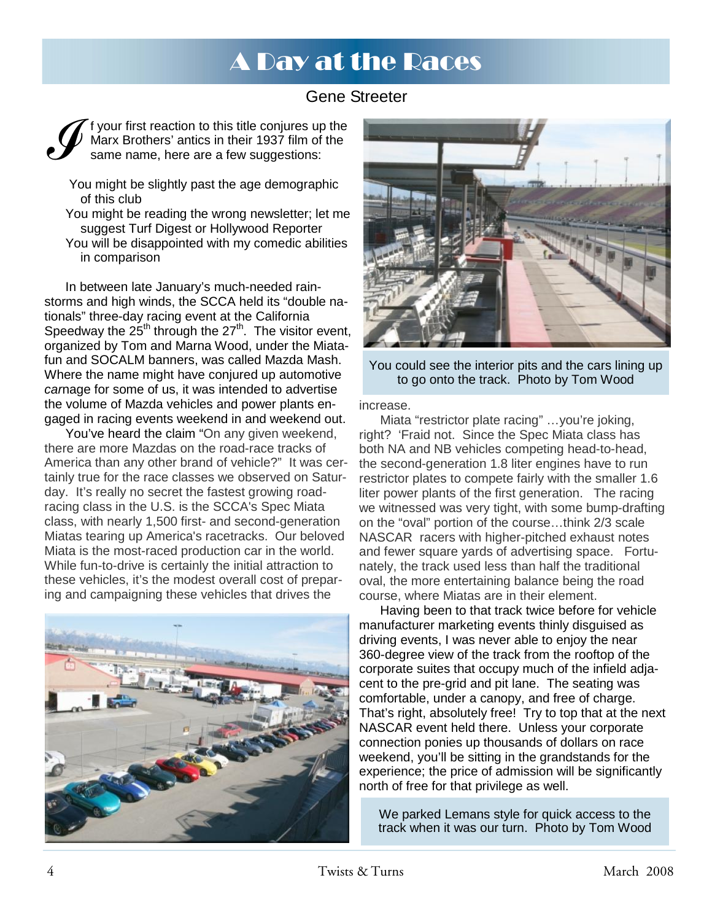# A Day at the Races

### Gene Streeter



 You might be slightly past the age demographic of this club

You might be reading the wrong newsletter; let me suggest Turf Digest or Hollywood Reporter You will be disappointed with my comedic abilities in comparison

 In between late January's much-needed rainstorms and high winds, the SCCA held its "double nationals" three-day racing event at the California Speedway the  $25<sup>th</sup>$  through the  $27<sup>th</sup>$ . The visitor event, organized by Tom and Marna Wood, under the Miatafun and SOCALM banners, was called Mazda Mash. Where the name might have conjured up automotive *car*nage for some of us, it was intended to advertise the volume of Mazda vehicles and power plants engaged in racing events weekend in and weekend out.

 You've heard the claim "On any given weekend, there are more Mazdas on the road-race tracks of America than any other brand of vehicle?" It was certainly true for the race classes we observed on Saturday. It's really no secret the fastest growing roadracing class in the U.S. is the SCCA's Spec Miata class, with nearly 1,500 first- and second-generation Miatas tearing up America's racetracks. Our beloved Miata is the most-raced production car in the world. While fun-to-drive is certainly the initial attraction to these vehicles, it's the modest overall cost of preparing and campaigning these vehicles that drives the





You could see the interior pits and the cars lining up to go onto the track. Photo by Tom Wood

increase.

 Miata "restrictor plate racing" …you're joking, right? 'Fraid not. Since the Spec Miata class has both NA and NB vehicles competing head-to-head, the second-generation 1.8 liter engines have to run restrictor plates to compete fairly with the smaller 1.6 liter power plants of the first generation. The racing we witnessed was very tight, with some bump-drafting on the "oval" portion of the course…think 2/3 scale NASCAR racers with higher-pitched exhaust notes and fewer square yards of advertising space. Fortunately, the track used less than half the traditional oval, the more entertaining balance being the road course, where Miatas are in their element.

 Having been to that track twice before for vehicle manufacturer marketing events thinly disguised as driving events, I was never able to enjoy the near 360-degree view of the track from the rooftop of the corporate suites that occupy much of the infield adjacent to the pre-grid and pit lane. The seating was comfortable, under a canopy, and free of charge. That's right, absolutely free! Try to top that at the next NASCAR event held there. Unless your corporate connection ponies up thousands of dollars on race weekend, you'll be sitting in the grandstands for the experience; the price of admission will be significantly north of free for that privilege as well.

We parked Lemans style for quick access to the track when it was our turn. Photo by Tom Wood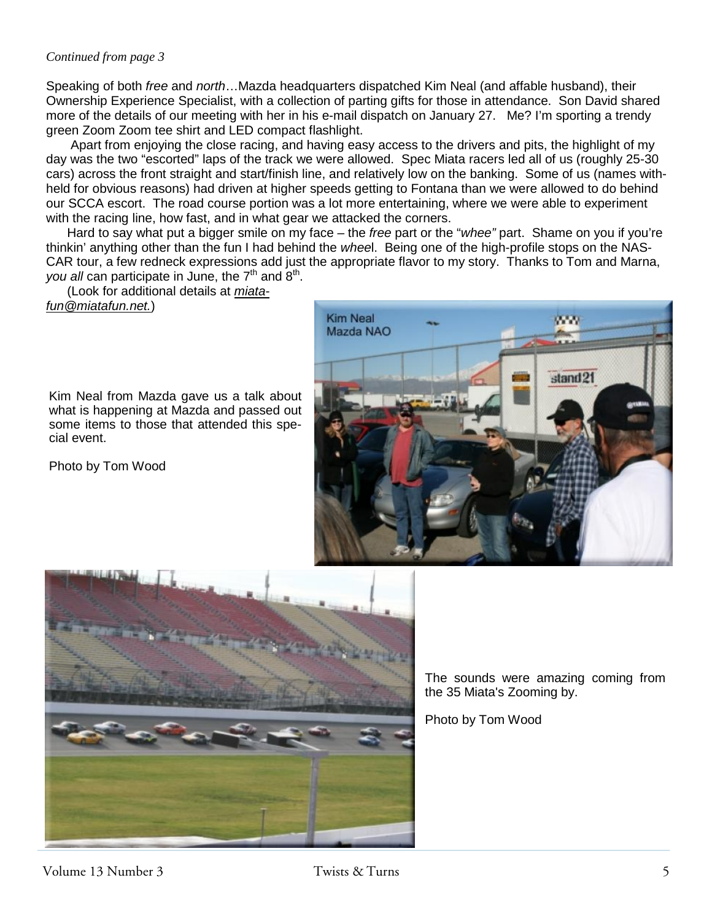#### *Continued from page 3*

Speaking of both *free* and *north*…Mazda headquarters dispatched Kim Neal (and affable husband), their Ownership Experience Specialist, with a collection of parting gifts for those in attendance. Son David shared more of the details of our meeting with her in his e-mail dispatch on January 27. Me? I'm sporting a trendy green Zoom Zoom tee shirt and LED compact flashlight.

 Apart from enjoying the close racing, and having easy access to the drivers and pits, the highlight of my day was the two "escorted" laps of the track we were allowed. Spec Miata racers led all of us (roughly 25-30 cars) across the front straight and start/finish line, and relatively low on the banking. Some of us (names withheld for obvious reasons) had driven at higher speeds getting to Fontana than we were allowed to do behind our SCCA escort. The road course portion was a lot more entertaining, where we were able to experiment with the racing line, how fast, and in what gear we attacked the corners.

 Hard to say what put a bigger smile on my face – the *free* part or the "*whee"* part. Shame on you if you're thinkin' anything other than the fun I had behind the *whee*l. Being one of the high-profile stops on the NAS-CAR tour, a few redneck expressions add just the appropriate flavor to my story. Thanks to Tom and Marna, *you all* can participate in June, the 7<sup>th</sup> and 8<sup>th</sup>.

 (Look for additional details at *miatafun@miatafun.net.*)



Kim Neal from Mazda gave us a talk about what is happening at Mazda and passed out some items to those that attended this special event.

Photo by Tom Wood



The sounds were amazing coming from the 35 Miata's Zooming by.

Photo by Tom Wood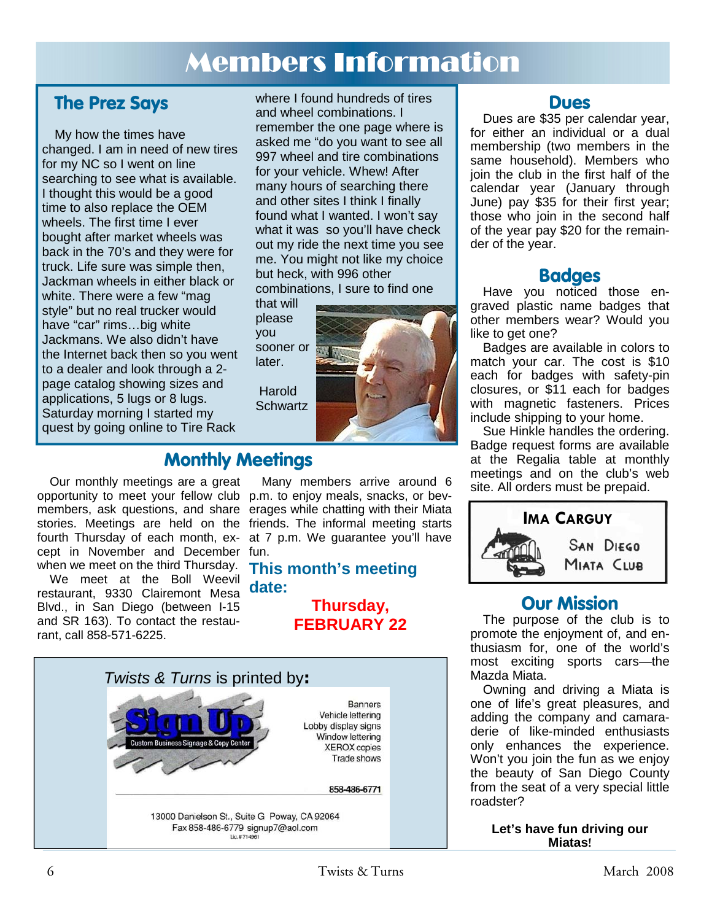# Members Information

## **The Prez Says**

My how the times have changed. I am in need of new tires for my NC so I went on line searching to see what is available. I thought this would be a good time to also replace the OEM wheels. The first time I ever bought after market wheels was back in the 70's and they were for truck. Life sure was simple then, Jackman wheels in either black or white. There were a few "mag style" but no real trucker would have "car" rims…big white Jackmans. We also didn't have the Internet back then so you went to a dealer and look through a 2 page catalog showing sizes and applications, 5 lugs or 8 lugs. Saturday morning I started my quest by going online to Tire Rack

where I found hundreds of tires and wheel combinations. I remember the one page where is asked me "do you want to see all 997 wheel and tire combinations for your vehicle. Whew! After many hours of searching there and other sites I think I finally found what I wanted. I won't say what it was so you'll have check out my ride the next time you see me. You might not like my choice but heck, with 996 other combinations, I sure to find one

that will please you sooner or later. **Harold** 

Schwartz



## **Monthly Meetings**

Our monthly meetings are a great opportunity to meet your fellow club p.m. to enjoy meals, snacks, or bevmembers, ask questions, and share erages while chatting with their Miata stories. Meetings are held on the friends. The informal meeting starts fourth Thursday of each month, ex-at 7 p.m. We guarantee you'll have cept in November and December fun. when we meet on the third Thursday.

We meet at the Boll Weevil restaurant, 9330 Clairemont Mesa Blvd., in San Diego (between I-15 and SR 163). To contact the restaurant, call 858-571-6225.

Many members arrive around 6

### **This month's meeting date:**

**Thursday, FEBRUARY 22** 



### **Dues**

Dues are \$35 per calendar year, for either an individual or a dual membership (two members in the same household). Members who join the club in the first half of the calendar year (January through June) pay \$35 for their first year; those who join in the second half of the year pay \$20 for the remainder of the year.

### **Badges**

Have you noticed those engraved plastic name badges that other members wear? Would you like to get one?

Badges are available in colors to match your car. The cost is \$10 each for badges with safety-pin closures, or \$11 each for badges with magnetic fasteners. Prices include shipping to your home.

Sue Hinkle handles the ordering. Badge request forms are available at the Regalia table at monthly meetings and on the club's web site. All orders must be prepaid.



## **Our Mission**

The purpose of the club is to promote the enjoyment of, and enthusiasm for, one of the world's most exciting sports cars—the Mazda Miata.

Owning and driving a Miata is one of life's great pleasures, and adding the company and camaraderie of like-minded enthusiasts only enhances the experience. Won't you join the fun as we enjoy the beauty of San Diego County from the seat of a very special little roadster?

> **Let's have fun driving our Miatas!**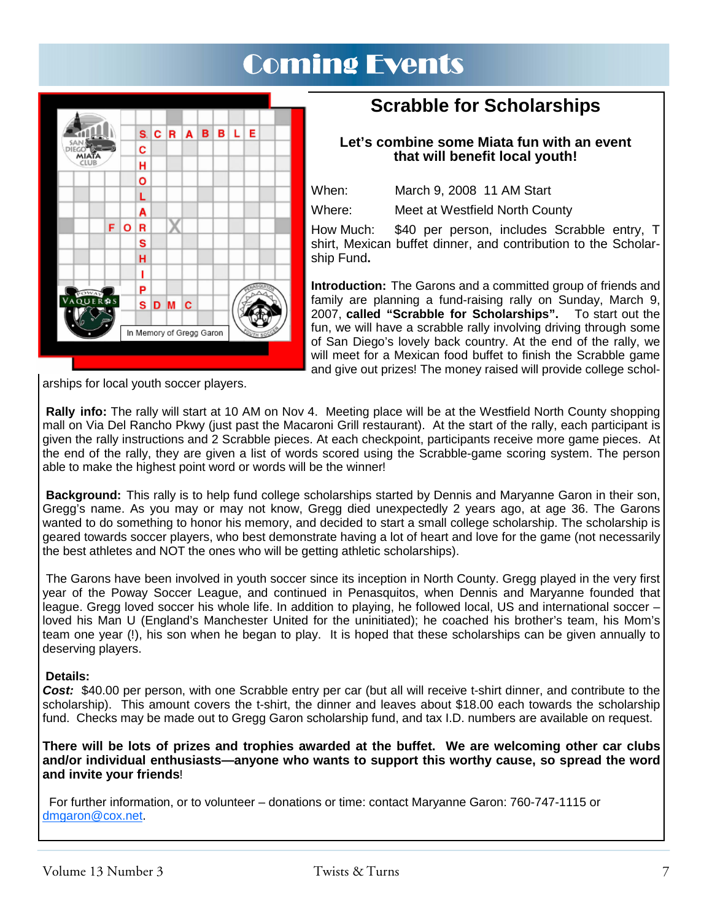# Coming Events



## **Scrabble for Scholarships**

#### **Let's combine some Miata fun with an event that will benefit local youth!**

When: March 9, 2008 11 AM Start

Where: Meet at Westfield North County

How Much: \$40 per person, includes Scrabble entry, T shirt, Mexican buffet dinner, and contribution to the Scholarship Fund**.** 

**Introduction:** The Garons and a committed group of friends and family are planning a fund-raising rally on Sunday, March 9, 2007, **called "Scrabble for Scholarships".** To start out the fun, we will have a scrabble rally involving driving through some of San Diego's lovely back country. At the end of the rally, we will meet for a Mexican food buffet to finish the Scrabble game and give out prizes! The money raised will provide college schol-

arships for local youth soccer players.

**Rally info:** The rally will start at 10 AM on Nov 4. Meeting place will be at the Westfield North County shopping mall on Via Del Rancho Pkwy (just past the Macaroni Grill restaurant). At the start of the rally, each participant is given the rally instructions and 2 Scrabble pieces. At each checkpoint, participants receive more game pieces. At the end of the rally, they are given a list of words scored using the Scrabble-game scoring system. The person able to make the highest point word or words will be the winner!

**Background:** This rally is to help fund college scholarships started by Dennis and Maryanne Garon in their son, Gregg's name. As you may or may not know, Gregg died unexpectedly 2 years ago, at age 36. The Garons wanted to do something to honor his memory, and decided to start a small college scholarship. The scholarship is geared towards soccer players, who best demonstrate having a lot of heart and love for the game (not necessarily the best athletes and NOT the ones who will be getting athletic scholarships).

 The Garons have been involved in youth soccer since its inception in North County. Gregg played in the very first year of the Poway Soccer League, and continued in Penasquitos, when Dennis and Maryanne founded that league. Gregg loved soccer his whole life. In addition to playing, he followed local, US and international soccer – loved his Man U (England's Manchester United for the uninitiated); he coached his brother's team, his Mom's team one year (!), his son when he began to play. It is hoped that these scholarships can be given annually to deserving players.

#### **Details:**

*Cost:* \$40.00 per person, with one Scrabble entry per car (but all will receive t-shirt dinner, and contribute to the scholarship). This amount covers the t-shirt, the dinner and leaves about \$18.00 each towards the scholarship fund. Checks may be made out to Gregg Garon scholarship fund, and tax I.D. numbers are available on request.

**There will be lots of prizes and trophies awarded at the buffet. We are welcoming other car clubs and/or individual enthusiasts—anyone who wants to support this worthy cause, so spread the word and invite your friends**!

 For further information, or to volunteer – donations or time: contact Maryanne Garon: 760-747-1115 or dmgaron@cox.net.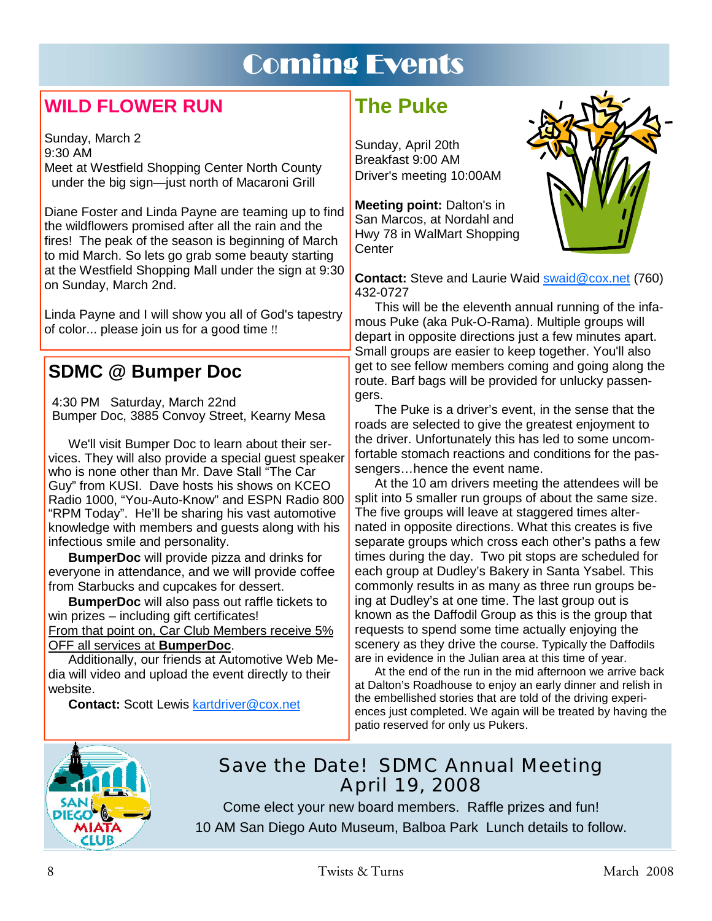# Coming Events

## **WILD FLOWER RUN**

Sunday, March 2 9:30 AM Meet at Westfield Shopping Center North County under the big sign—just north of Macaroni Grill

Diane Foster and Linda Payne are teaming up to find the wildflowers promised after all the rain and the fires! The peak of the season is beginning of March to mid March. So lets go grab some beauty starting at the Westfield Shopping Mall under the sign at 9:30 on Sunday, March 2nd.

Linda Payne and I will show you all of God's tapestry of color... please join us for a good time !!

## **SDMC @ Bumper Doc**

 4:30 PM Saturday, March 22nd Bumper Doc, 3885 Convoy Street, Kearny Mesa

 We'll visit Bumper Doc to learn about their services. They will also provide a special guest speaker who is none other than Mr. Dave Stall "The Car Guy" from KUSI. Dave hosts his shows on KCEO Radio 1000, "You-Auto-Know" and ESPN Radio 800 "RPM Today". He'll be sharing his vast automotive knowledge with members and guests along with his infectious smile and personality.

 **BumperDoc** will provide pizza and drinks for everyone in attendance, and we will provide coffee from Starbucks and cupcakes for dessert.

**BumperDoc** will also pass out raffle tickets to win prizes – including gift certificates!

From that point on, Car Club Members receive 5% OFF all services at **BumperDoc**.

 Additionally, our friends at Automotive Web Media will video and upload the event directly to their website.

**Contact:** Scott Lewis kartdriver@cox.net

# **The Puke**

Sunday, April 20th Breakfast 9:00 AM Driver's meeting 10:00AM

**Meeting point:** Dalton's in San Marcos, at Nordahl and Hwy 78 in WalMart Shopping **Center** 



**Contact:** Steve and Laurie Waid swaid@cox.net (760) 432-0727

This will be the eleventh annual running of the infamous Puke (aka Puk-O-Rama). Multiple groups will depart in opposite directions just a few minutes apart. Small groups are easier to keep together. You'll also get to see fellow members coming and going along the route. Barf bags will be provided for unlucky passengers.

 The Puke is a driver's event, in the sense that the roads are selected to give the greatest enjoyment to the driver. Unfortunately this has led to some uncomfortable stomach reactions and conditions for the passengers…hence the event name.

 At the 10 am drivers meeting the attendees will be split into 5 smaller run groups of about the same size. The five groups will leave at staggered times alternated in opposite directions. What this creates is five separate groups which cross each other's paths a few times during the day. Two pit stops are scheduled for each group at Dudley's Bakery in Santa Ysabel. This commonly results in as many as three run groups being at Dudley's at one time. The last group out is known as the Daffodil Group as this is the group that requests to spend some time actually enjoying the scenery as they drive the course. Typically the Daffodils are in evidence in the Julian area at this time of year.

 At the end of the run in the mid afternoon we arrive back at Dalton's Roadhouse to enjoy an early dinner and relish in the embellished stories that are told of the driving experiences just completed. We again will be treated by having the patio reserved for only us Pukers.



## Save the Date! SDMC Annual Meeting April 19, 2008

Come elect your new board members. Raffle prizes and fun! 10 AM San Diego Auto Museum, Balboa Park Lunch details to follow.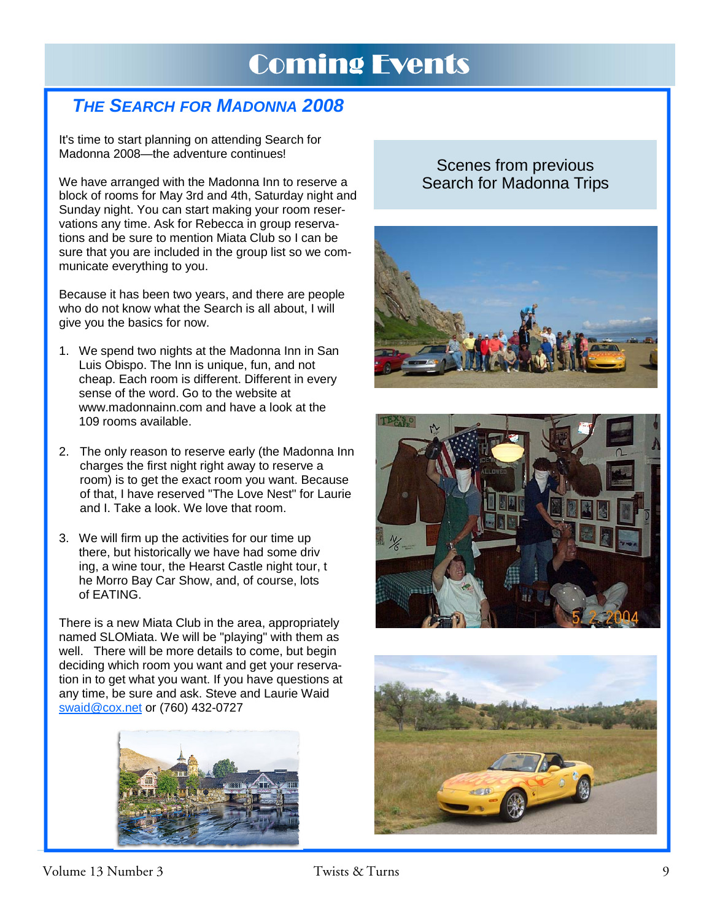# Coming Events

## *THE SEARCH FOR MADONNA 2008*

It's time to start planning on attending Search for Madonna 2008—the adventure continues!

We have arranged with the Madonna Inn to reserve a block of rooms for May 3rd and 4th, Saturday night and Sunday night. You can start making your room reservations any time. Ask for Rebecca in group reservations and be sure to mention Miata Club so I can be sure that you are included in the group list so we communicate everything to you.

Because it has been two years, and there are people who do not know what the Search is all about, I will give you the basics for now.

- 1. We spend two nights at the Madonna Inn in San Luis Obispo. The Inn is unique, fun, and not cheap. Each room is different. Different in every sense of the word. Go to the website at www.madonnainn.com and have a look at the 109 rooms available.
- 2. The only reason to reserve early (the Madonna Inn charges the first night right away to reserve a room) is to get the exact room you want. Because of that, I have reserved "The Love Nest" for Laurie and I. Take a look. We love that room.
- 3. We will firm up the activities for our time up there, but historically we have had some driv ing, a wine tour, the Hearst Castle night tour, t he Morro Bay Car Show, and, of course, lots of EATING.

There is a new Miata Club in the area, appropriately named SLOMiata. We will be "playing" with them as well. There will be more details to come, but begin deciding which room you want and get your reservation in to get what you want. If you have questions at any time, be sure and ask. Steve and Laurie Waid swaid@cox.net or (760) 432-0727



### Scenes from previous Search for Madonna Trips





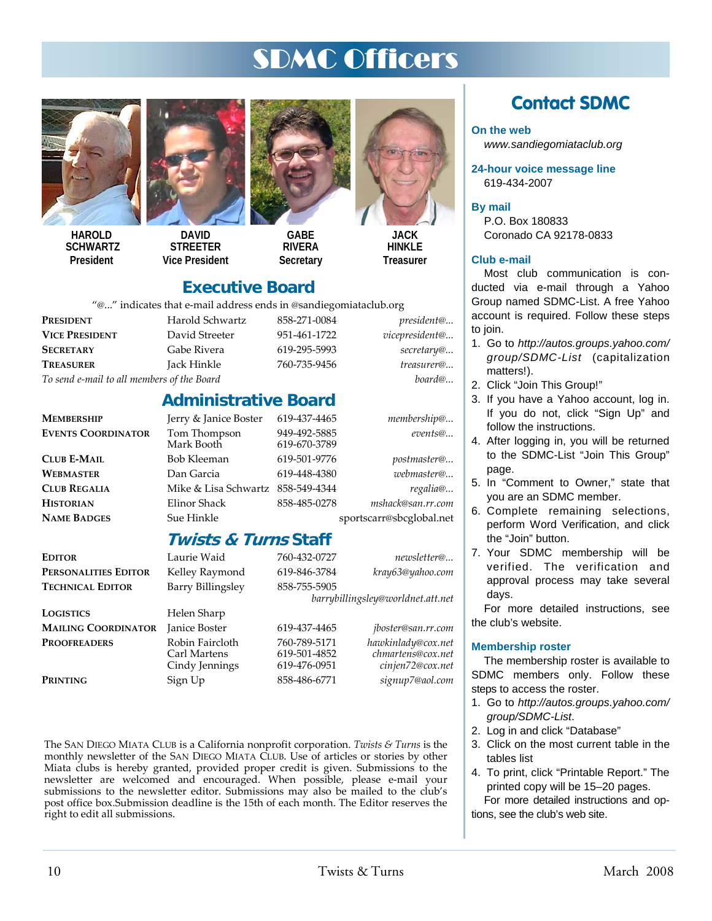# SDMC Officers



**HAROLD SCHWARTZ President** 



**DAVID STREETER Vice President** 



**GABE RIVERA Secretary** 



**HINKI F Treasurer** 

### **Executive Board**

"@..." indicates that e-mail address ends in @sandiegomiataclub.org

| $\epsilon$ Indicates that c man address chas in estimate connumeration |                 |              |                    |  |  |
|------------------------------------------------------------------------|-----------------|--------------|--------------------|--|--|
| <b>PRESIDENT</b>                                                       | Harold Schwartz | 858-271-0084 | <i>president</i> @ |  |  |
| <b>VICE PRESIDENT</b>                                                  | David Streeter  | 951-461-1722 | vicepresident@     |  |  |
| <b>SECRETARY</b>                                                       | Gabe Rivera     | 619-295-5993 | secretary@         |  |  |
| <b>TREASURER</b>                                                       | Jack Hinkle     | 760-735-9456 | treasurer@         |  |  |
|                                                                        |                 |              |                    |  |  |

# *To send e-mail to all members of the Board board@...*

### **Administrative Board**

**MEMBERSHIP** Jerry & Janice Boster 619-437-4465 *membership@...*

**EVENTS COORDINATOR** Tom Thompson 949-492-5885 *events@...* 619-670-3789 **CLUB E-MAIL** Bob Kleeman 619-501-9776 *postmaster@...* **WEBMASTER** Dan Garcia 619-448-4380 *webmaster@...*  **CLUB REGALIA** Mike & Lisa Schwartz 858-549-4344 *regalia@...* **HISTORIAN** Elinor Shack 858-485-0278 *mshack@san.rr.com* **NAME BADGES** Sue Hinkle sportscarr@sbcglobal.net

### **Twists & Turns Staff**

| <b>EDITOR</b>              | Laurie Waid                                       | 760-432-0727                                 | newsletter@                                                 |
|----------------------------|---------------------------------------------------|----------------------------------------------|-------------------------------------------------------------|
| PERSONALITIES EDITOR       | Kelley Raymond                                    | 619-846-3784                                 | kray63@yahoo.com                                            |
| <b>TECHNICAL EDITOR</b>    | Barry Billingsley                                 | 858-755-5905                                 |                                                             |
|                            | barrybillingsley@worldnet.att.net                 |                                              |                                                             |
| LOGISTICS                  | Helen Sharp                                       |                                              |                                                             |
| <b>MAILING COORDINATOR</b> | Janice Boster                                     | 619-437-4465                                 | <i>jboster@san.rr.com</i>                                   |
| <b>PROOFREADERS</b>        | Robin Faircloth<br>Carl Martens<br>Cindy Jennings | 760-789-5171<br>619-501-4852<br>619-476-0951 | hawkinlady@cox.net<br>chmartens@cox.net<br>cinjen72@cox.net |
| Printing                   | Sign Up                                           | 858-486-6771                                 | signup7@aol.com                                             |

The SAN DIEGO MIATA CLUB is a California nonprofit corporation. *Twists & Turns* is the monthly newsletter of the SAN DIEGO MIATA CLUB. Use of articles or stories by other Miata clubs is hereby granted, provided proper credit is given. Submissions to the newsletter are welcomed and encouraged. When possible, please e-mail your submissions to the newsletter editor. Submissions may also be mailed to the club's post office box.Submission deadline is the 15th of each month. The Editor reserves the right to edit all submissions.

## **Contact SDMC**

#### **On the web**

*www.sandiegomiataclub.org* 

**24-hour voice message line**  619-434-2007

#### **By mail**

P.O. Box 180833 Coronado CA 92178-0833

#### **Club e-mail**

Most club communication is conducted via e-mail through a Yahoo Group named SDMC-List. A free Yahoo account is required. Follow these steps to join.

- 1. Go to *http://autos.groups.yahoo.com/ group/SDMC-List* (capitalization matters!).
- 2. Click "Join This Group!"
- 3. If you have a Yahoo account, log in. If you do not, click "Sign Up" and follow the instructions.
- 4. After logging in, you will be returned to the SDMC-List "Join This Group" page.
- 5. In "Comment to Owner," state that you are an SDMC member.
- 6. Complete remaining selections, perform Word Verification, and click the "Join" button.
- 7. Your SDMC membership will be verified. The verification and approval process may take several days.

For more detailed instructions, see the club's website.

#### **Membership roster**

The membership roster is available to SDMC members only. Follow these steps to access the roster.

- 1. Go to *http://autos.groups.yahoo.com/ group/SDMC-List*.
- 2. Log in and click "Database"
- 3. Click on the most current table in the tables list
- 4. To print, click "Printable Report." The printed copy will be 15–20 pages. For more detailed instructions and options, see the club's web site.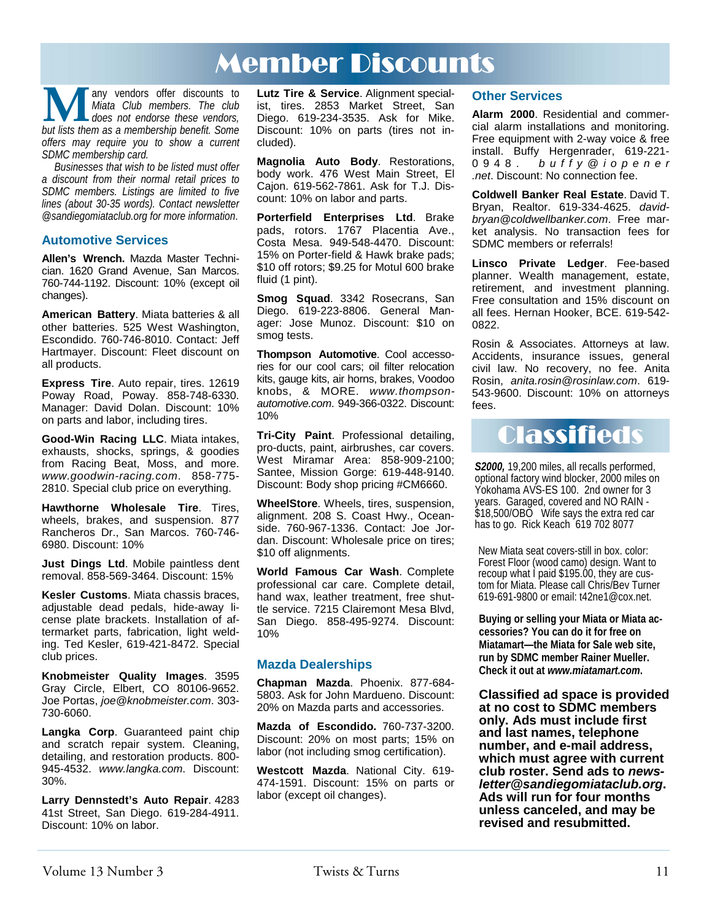# Member Discounts

**M** any vendors offer discounts to *Miata Club members. The club* does not endorse these vendors, but lists them as a membership benefit. Some *Miata Club members. The club does not endorse these vendors, offers may require you to show a current SDMC membership card.* 

*Businesses that wish to be listed must offer a discount from their normal retail prices to SDMC members. Listings are limited to five lines (about 30-35 words). Contact newsletter @sandiegomiataclub.org for more information*.

#### **Automotive Services**

**Allen's Wrench.** Mazda Master Technician. 1620 Grand Avenue, San Marcos. 760-744-1192. Discount: 10% (except oil changes).

**American Battery**. Miata batteries & all other batteries. 525 West Washington, Escondido. 760-746-8010. Contact: Jeff Hartmayer. Discount: Fleet discount on all products.

**Express Tire**. Auto repair, tires. 12619 Poway Road, Poway. 858-748-6330. Manager: David Dolan. Discount: 10% on parts and labor, including tires.

**Good-Win Racing LLC**. Miata intakes, exhausts, shocks, springs, & goodies from Racing Beat, Moss, and more. *www.goodwin-racing.com*. 858-775- 2810. Special club price on everything.

**Hawthorne Wholesale Tire**. Tires, wheels, brakes, and suspension. 877 Rancheros Dr., San Marcos. 760-746- 6980. Discount: 10%

**Just Dings Ltd**. Mobile paintless dent removal. 858-569-3464. Discount: 15%

**Kesler Customs**. Miata chassis braces, adjustable dead pedals, hide-away license plate brackets. Installation of aftermarket parts, fabrication, light welding. Ted Kesler, 619-421-8472. Special club prices.

**Knobmeister Quality Images**. 3595 Gray Circle, Elbert, CO 80106-9652. Joe Portas, *joe@knobmeister.com*. 303- 730-6060.

**Langka Corp**. Guaranteed paint chip and scratch repair system. Cleaning, detailing, and restoration products. 800- 945-4532. *www.langka.com*. Discount: 30%.

**Larry Dennstedt's Auto Repair**. 4283 41st Street, San Diego. 619-284-4911. Discount: 10% on labor.

**Lutz Tire & Service**. Alignment specialist, tires. 2853 Market Street, San Diego. 619-234-3535. Ask for Mike. Discount: 10% on parts (tires not included).

**Magnolia Auto Body**. Restorations, body work. 476 West Main Street, El Cajon. 619-562-7861. Ask for T.J. Discount: 10% on labor and parts.

**Porterfield Enterprises Ltd**. Brake pads, rotors. 1767 Placentia Ave., Costa Mesa. 949-548-4470. Discount: 15% on Porter-field & Hawk brake pads; \$10 off rotors; \$9.25 for Motul 600 brake fluid (1 pint).

**Smog Squad**. 3342 Rosecrans, San Diego. 619-223-8806. General Manager: Jose Munoz. Discount: \$10 on smog tests.

**Thompson Automotive**. Cool accessories for our cool cars; oil filter relocation kits, gauge kits, air horns, brakes, Voodoo knobs, & MORE. *www.thompsonautomotive.com*. 949-366-0322. Discount: 10%

**Tri-City Paint**. Professional detailing, pro-ducts, paint, airbrushes, car covers. West Miramar Area: 858-909-2100; Santee, Mission Gorge: 619-448-9140. Discount: Body shop pricing #CM6660.

**WheelStore**. Wheels, tires, suspension, alignment. 208 S. Coast Hwy., Oceanside. 760-967-1336. Contact: Joe Jordan. Discount: Wholesale price on tires; \$10 off alignments.

**World Famous Car Wash**. Complete professional car care. Complete detail, hand wax, leather treatment, free shuttle service. 7215 Clairemont Mesa Blvd, San Diego. 858-495-9274. Discount: 10%

#### **Mazda Dealerships**

**Chapman Mazda**. Phoenix. 877-684- 5803. Ask for John Mardueno. Discount: 20% on Mazda parts and accessories.

**Mazda of Escondido.** 760-737-3200. Discount: 20% on most parts; 15% on labor (not including smog certification).

**Westcott Mazda**. National City. 619- 474-1591. Discount: 15% on parts or labor (except oil changes).

#### **Other Services**

**Alarm 2000**. Residential and commercial alarm installations and monitoring. Free equipment with 2-way voice & free install. Buffy Hergenrader, 619-221- 0948. *b u f f y @ i o p e n e r .net*. Discount: No connection fee.

**Coldwell Banker Real Estate**. David T. Bryan, Realtor. 619-334-4625. *davidbryan@coldwellbanker.com*. Free market analysis. No transaction fees for SDMC members or referrals!

**Linsco Private Ledger**. Fee-based planner. Wealth management, estate, retirement, and investment planning. Free consultation and 15% discount on all fees. Hernan Hooker, BCE. 619-542- 0822.

Rosin & Associates. Attorneys at law. Accidents, insurance issues, general civil law. No recovery, no fee. Anita Rosin, *anita.rosin@rosinlaw.com*. 619- 543-9600. Discount: 10% on attorneys fees.

# **Classifieds**

*S2000,* 19,200 miles, all recalls performed, optional factory wind blocker, 2000 miles on Yokohama AVS-ES 100. 2nd owner for 3 years. Garaged, covered and NO RAIN - \$18,500/OBO Wife says the extra red car has to go. Rick Keach 619 702 8077

New Miata seat covers-still in box. color: Forest Floor (wood camo) design. Want to recoup what I paid \$195.00, they are custom for Miata. Please call Chris/Bev Turner 619-691-9800 or email: t42ne1@cox.net.

**Buying or selling your Miata or Miata accessories? You can do it for free on Miatamart—the Miata for Sale web site, run by SDMC member Rainer Mueller. Check it out at** *www.miatamart.com***.** 

**Classified ad space is provided at no cost to SDMC members only. Ads must include first and last names, telephone number, and e-mail address, which must agree with current club roster. Send ads to** *newsletter@sandiegomiataclub.org***. Ads will run for four months unless canceled, and may be revised and resubmitted.**